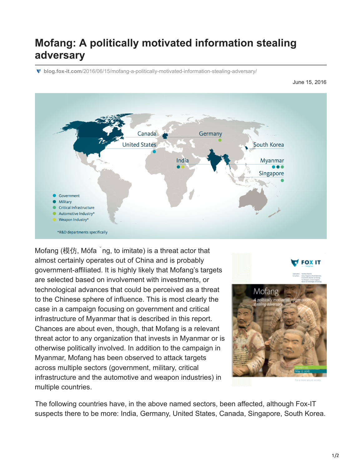## **Mofang: A politically motivated information stealing adversary**

**blog.fox-it.com**[/2016/06/15/mofang-a-politically-motivated-information-stealing-adversary/](https://blog.fox-it.com/2016/06/15/mofang-a-politically-motivated-information-stealing-adversary/)

June 15, 2016



Mofang (模仿, Mófa ng, to imitate) is a threat actor that almost certainly operates out of China and is probably government-affiliated. It is highly likely that Mofang's targets are selected based on involvement with investments, or technological advances that could be perceived as a threat to the Chinese sphere of influence. This is most clearly the case in a campaign focusing on government and critical infrastructure of Myanmar that is described in this report. Chances are about even, though, that Mofang is a relevant threat actor to any organization that invests in Myanmar or is otherwise politically involved. In addition to the campaign in Myanmar, Mofang has been observed to attack targets across multiple sectors (government, military, critical infrastructure and the automotive and weapon industries) in multiple countries.



The following countries have, in the above named sectors, been affected, although Fox-IT suspects there to be more: India, Germany, United States, Canada, Singapore, South Korea.